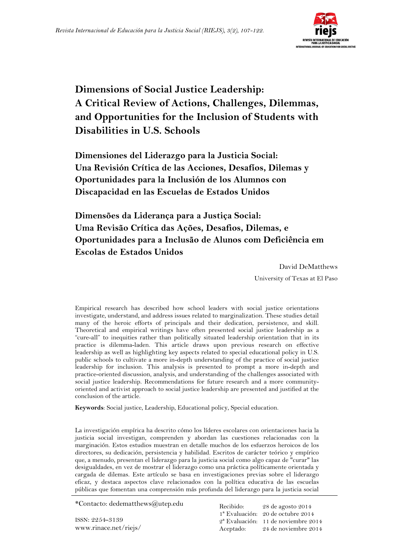

# **Dimensions of Social Justice Leadership: A Critical Review of Actions, Challenges, Dilemmas, and Opportunities for the Inclusion of Students with Disabilities in U.S. Schools**

**Dimensiones del Liderazgo para la Justicia Social: Una Revisión Crítica de las Acciones, Desafíos, Dilemas y Oportunidades para la Inclusión de los Alumnos con Discapacidad en las Escuelas de Estados Unidos** 

**Dimensões da Liderança para a Justiça Social: Uma Revisão Crítica das Ações, Desafios, Dilemas, e Oportunidades para a Inclusão de Alunos com Deficiência em Escolas de Estados Unidos**

David DeMatthews

University of Texas at El Paso

Empirical research has described how school leaders with social justice orientations investigate, understand, and address issues related to marginalization. These studies detail many of the heroic efforts of principals and their dedication, persistence, and skill. Theoretical and empirical writings have often presented social justice leadership as a "cure-all" to inequities rather than politically situated leadership orientation that in its practice is dilemma-laden. This article draws upon previous research on effective leadership as well as highlighting key aspects related to special educational policy in U.S. public schools to cultivate a more in-depth understanding of the practice of social justice leadership for inclusion. This analysis is presented to prompt a more in-depth and practice-oriented discussion, analysis, and understanding of the challenges associated with social justice leadership. Recommendations for future research and a more communityoriented and activist approach to social justice leadership are presented and justified at the conclusion of the article.

**Keywords**: Social justice, Leadership, Educational policy, Special education.

La investigación empírica ha descrito cómo los líderes escolares con orientaciones hacia la justicia social investigan, comprenden y abordan las cuestiones relacionadas con la marginación. Estos estudios muestran en detalle muchos de los esfuerzos heroicos de los directores, su dedicación, persistencia y habilidad. Escritos de carácter teórico y empírico que, a menudo, presentan el liderazgo para la justicia social como algo capaz de "curar" las desigualdades, en vez de mostrar el liderazgo como una práctica políticamente orientada y cargada de dilemas. Este artículo se basa en investigaciones previas sobre el liderazgo eficaz, y destaca aspectos clave relacionados con la política educativa de las escuelas públicas que fomentan una comprensión más profunda del liderazgo para la justicia social

\*Contacto: dedematthews@utep.edu

ISSN: 2254-3139 www.rinace.net/riejs/

Recibido: 1ª Evaluación: 20 de octubre 2014 2ª Evaluación: 11 de noviembre 2014 Aceptado: 28 de agosto 2014 24 de noviembre 2014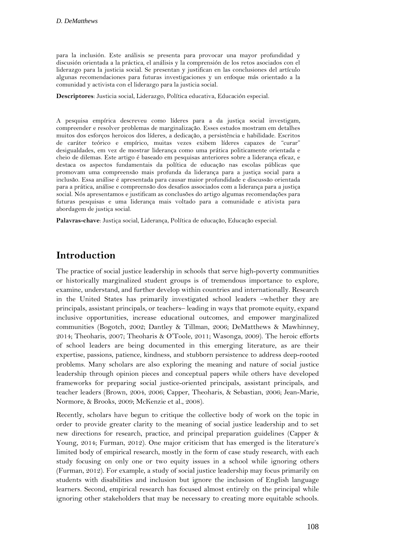para la inclusión. Este análisis se presenta para provocar una mayor profundidad y discusión orientada a la práctica, el análisis y la comprensión de los retos asociados con el liderazgo para la justicia social. Se presentan y justifican en las conclusiones del artículo algunas recomendaciones para futuras investigaciones y un enfoque más orientado a la comunidad y activista con el liderazgo para la justicia social.

**Descriptores**: Justicia social, Liderazgo, Política educativa, Educación especial.

A pesquisa empírica descreveu como líderes para a da justiça social investigam, compreender e resolver problemas de marginalização. Esses estudos mostram em detalhes muitos dos esforços heroicos dos líderes, a dedicação, a persistência e habilidade. Escritos de caráter teórico e empírico, muitas vezes exibem líderes capazes de "curar" desigualdades, em vez de mostrar liderança como uma prática politicamente orientada e cheio de dilemas. Este artigo é baseado em pesquisas anteriores sobre a liderança eficaz, e destaca os aspectos fundamentais da política de educação nas escolas públicas que promovam uma compreensão mais profunda da liderança para a justiça social para a inclusão. Essa análise é apresentada para causar maior profundidade e discussão orientada para a prática, análise e compreensão dos desafios associados com a liderança para a justiça social. Nós apresentamos e justificam as conclusões do artigo algumas recomendações para futuras pesquisas e uma liderança mais voltado para a comunidade e ativista para abordagem de justiça social.

**Palavras-chave**: Justiça social, Liderança, Política de educação, Educação especial.

### **Introduction**

The practice of social justice leadership in schools that serve high-poverty communities or historically marginalized student groups is of tremendous importance to explore, examine, understand, and further develop within countries and internationally. Research in the United States has primarily investigated school leaders –whether they are principals, assistant principals, or teachers– leading in ways that promote equity, expand inclusive opportunities, increase educational outcomes, and empower marginalized communities (Bogotch, 2002; Dantley & Tillman, 2006; DeMatthews & Mawhinney, 2014; Theoharis, 2007; Theoharis & O'Toole, 2011; Wasonga, 2009). The heroic efforts of school leaders are being documented in this emerging literature, as are their expertise, passions, patience, kindness, and stubborn persistence to address deep-rooted problems. Many scholars are also exploring the meaning and nature of social justice leadership through opinion pieces and conceptual papers while others have developed frameworks for preparing social justice-oriented principals, assistant principals, and teacher leaders (Brown, 2004, 2006; Capper, Theoharis, & Sebastian, 2006; Jean-Marie, Normore, & Brooks, 2009; McKenzie et al., 2008).

Recently, scholars have begun to critique the collective body of work on the topic in order to provide greater clarity to the meaning of social justice leadership and to set new directions for research, practice, and principal preparation guidelines (Capper & Young, 2014; Furman, 2012). One major criticism that has emerged is the literature's limited body of empirical research, mostly in the form of case study research, with each study focusing on only one or two equity issues in a school while ignoring others (Furman, 2012). For example, a study of social justice leadership may focus primarily on students with disabilities and inclusion but ignore the inclusion of English language learners. Second, empirical research has focused almost entirely on the principal while ignoring other stakeholders that may be necessary to creating more equitable schools.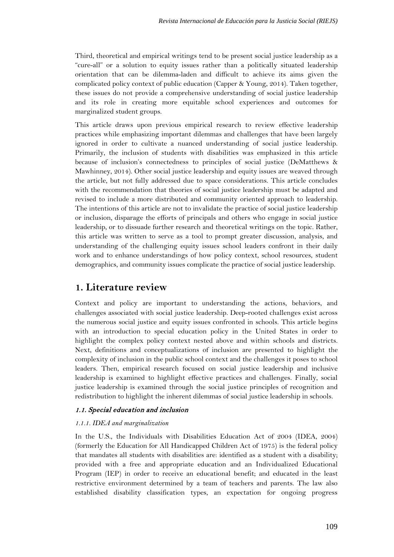Third, theoretical and empirical writings tend to be present social justice leadership as a "cure-all" or a solution to equity issues rather than a politically situated leadership orientation that can be dilemma-laden and difficult to achieve its aims given the complicated policy context of public education (Capper & Young, 2014). Taken together, these issues do not provide a comprehensive understanding of social justice leadership and its role in creating more equitable school experiences and outcomes for marginalized student groups.

This article draws upon previous empirical research to review effective leadership practices while emphasizing important dilemmas and challenges that have been largely ignored in order to cultivate a nuanced understanding of social justice leadership. Primarily, the inclusion of students with disabilities was emphasized in this article because of inclusion's connectedness to principles of social justice (DeMatthews & Mawhinney, 2014). Other social justice leadership and equity issues are weaved through the article, but not fully addressed due to space considerations. This article concludes with the recommendation that theories of social justice leadership must be adapted and revised to include a more distributed and community oriented approach to leadership. The intentions of this article are not to invalidate the practice of social justice leadership or inclusion, disparage the efforts of principals and others who engage in social justice leadership, or to dissuade further research and theoretical writings on the topic. Rather, this article was written to serve as a tool to prompt greater discussion, analysis, and understanding of the challenging equity issues school leaders confront in their daily work and to enhance understandings of how policy context, school resources, student demographics, and community issues complicate the practice of social justice leadership.

## **1. Literature review**

Context and policy are important to understanding the actions, behaviors, and challenges associated with social justice leadership. Deep-rooted challenges exist across the numerous social justice and equity issues confronted in schools. This article begins with an introduction to special education policy in the United States in order to highlight the complex policy context nested above and within schools and districts. Next, definitions and conceptualizations of inclusion are presented to highlight the complexity of inclusion in the public school context and the challenges it poses to school leaders. Then, empirical research focused on social justice leadership and inclusive leadership is examined to highlight effective practices and challenges. Finally, social justice leadership is examined through the social justice principles of recognition and redistribution to highlight the inherent dilemmas of social justice leadership in schools.

#### 1.1. Special education and inclusion

#### *1.1.1. IDEA and marginalization*

In the U.S., the Individuals with Disabilities Education Act of 2004 (IDEA, 2004) (formerly the Education for All Handicapped Children Act of 1975) is the federal policy that mandates all students with disabilities are: identified as a student with a disability; provided with a free and appropriate education and an Individualized Educational Program (IEP) in order to receive an educational benefit; and educated in the least restrictive environment determined by a team of teachers and parents. The law also established disability classification types, an expectation for ongoing progress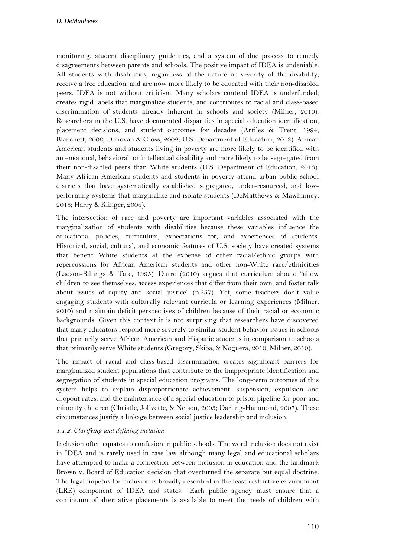monitoring, student disciplinary guidelines, and a system of due process to remedy disagreements between parents and schools. The positive impact of IDEA is undeniable. All students with disabilities, regardless of the nature or severity of the disability, receive a free education, and are now more likely to be educated with their non-disabled peers. IDEA is not without criticism. Many scholars contend IDEA is underfunded, creates rigid labels that marginalize students, and contributes to racial and class-based discrimination of students already inherent in schools and society (Milner, 2010). Researchers in the U.S. have documented disparities in special education identification, placement decisions, and student outcomes for decades (Artiles & Trent, 1994; Blanchett, 2006; Donovan & Cross, 2002; U.S. Department of Education, 2013). African American students and students living in poverty are more likely to be identified with an emotional, behavioral, or intellectual disability and more likely to be segregated from their non-disabled peers than White students (U.S. Department of Education, 2013). Many African American students and students in poverty attend urban public school districts that have systematically established segregated, under-resourced, and lowperforming systems that marginalize and isolate students (DeMatthews & Mawhinney, 2013; Harry & Klinger, 2006).

The intersection of race and poverty are important variables associated with the marginalization of students with disabilities because these variables influence the educational policies, curriculum, expectations for, and experiences of students. Historical, social, cultural, and economic features of U.S. society have created systems that benefit White students at the expense of other racial/ethnic groups with repercussions for African American students and other non-White race/ethnicities (Ladson-Billings & Tate, 1995). Dutro (2010) argues that curriculum should "allow children to see themselves, access experiences that differ from their own, and foster talk about issues of equity and social justice" (p.257). Yet, some teachers don't value engaging students with culturally relevant curricula or learning experiences (Milner, 2010) and maintain deficit perspectives of children because of their racial or economic backgrounds. Given this context it is not surprising that researchers have discovered that many educators respond more severely to similar student behavior issues in schools that primarily serve African American and Hispanic students in comparison to schools that primarily serve White students (Gregory, Skiba, & Noguera, 2010; Milner, 2010).

The impact of racial and class-based discrimination creates significant barriers for marginalized student populations that contribute to the inappropriate identification and segregation of students in special education programs. The long-term outcomes of this system helps to explain disproportionate achievement, suspension, expulsion and dropout rates, and the maintenance of a special education to prison pipeline for poor and minority children (Christle, Jolivette, & Nelson, 2005; Darling-Hammond, 2007). These circumstances justify a linkage between social justice leadership and inclusion.

#### *1.1.2. Clarifying and defining inclusion*

Inclusion often equates to confusion in public schools. The word inclusion does not exist in IDEA and is rarely used in case law although many legal and educational scholars have attempted to make a connection between inclusion in education and the landmark Brown v. Board of Education decision that overturned the separate but equal doctrine. The legal impetus for inclusion is broadly described in the least restrictive environment (LRE) component of IDEA and states: "Each public agency must ensure that a continuum of alternative placements is available to meet the needs of children with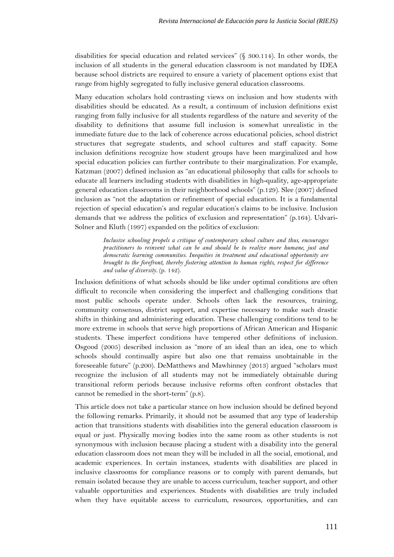disabilities for special education and related services" (§ 300.114). In other words, the inclusion of all students in the general education classroom is not mandated by IDEA because school districts are required to ensure a variety of placement options exist that range from highly segregated to fully inclusive general education classrooms.

Many education scholars hold contrasting views on inclusion and how students with disabilities should be educated. As a result, a continuum of inclusion definitions exist ranging from fully inclusive for all students regardless of the nature and severity of the disability to definitions that assume full inclusion is somewhat unrealistic in the immediate future due to the lack of coherence across educational policies, school district structures that segregate students, and school cultures and staff capacity. Some inclusion definitions recognize how student groups have been marginalized and how special education policies can further contribute to their marginalization. For example, Katzman (2007) defined inclusion as "an educational philosophy that calls for schools to educate all learners including students with disabilities in high-quality, age-appropriate general education classrooms in their neighborhood schools" (p.129). Slee (2007) defined inclusion as "not the adaptation or refinement of special education. It is a fundamental rejection of special education's and regular education's claims to be inclusive. Inclusion demands that we address the politics of exclusion and representation" (p.164). Udvari-Solner and Kluth (1997) expanded on the politics of exclusion:

> *Inclusive schooling propels a critique of contemporary school culture and thus, encourages practitioners to reinvent what can be and should be to realize more humane, just and democratic learning communities. Inequities in treatment and educational opportunity are brought to the forefront, thereby fostering attention to human rights, respect for difference and value of diversity.* (p. 142).

Inclusion definitions of what schools should be like under optimal conditions are often difficult to reconcile when considering the imperfect and challenging conditions that most public schools operate under. Schools often lack the resources, training, community consensus, district support, and expertise necessary to make such drastic shifts in thinking and administering education. These challenging conditions tend to be more extreme in schools that serve high proportions of African American and Hispanic students. These imperfect conditions have tempered other definitions of inclusion. Osgood (2005) described inclusion as "more of an ideal than an idea, one to which schools should continually aspire but also one that remains unobtainable in the foreseeable future" (p.200). DeMatthews and Mawhinney (2013) argued "scholars must recognize the inclusion of all students may not be immediately obtainable during transitional reform periods because inclusive reforms often confront obstacles that cannot be remedied in the short-term" (p.8).

This article does not take a particular stance on how inclusion should be defined beyond the following remarks. Primarily, it should not be assumed that any type of leadership action that transitions students with disabilities into the general education classroom is equal or just. Physically moving bodies into the same room as other students is not synonymous with inclusion because placing a student with a disability into the general education classroom does not mean they will be included in all the social, emotional, and academic experiences. In certain instances, students with disabilities are placed in inclusive classrooms for compliance reasons or to comply with parent demands, but remain isolated because they are unable to access curriculum, teacher support, and other valuable opportunities and experiences. Students with disabilities are truly included when they have equitable access to curriculum, resources, opportunities, and can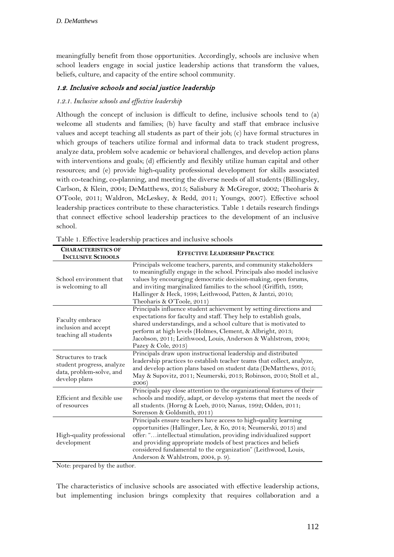meaningfully benefit from those opportunities. Accordingly, schools are inclusive when school leaders engage in social justice leadership actions that transform the values, beliefs, culture, and capacity of the entire school community.

### 1.2. Inclusive schools and social justice leadership

#### *1.2.1. Inclusive schools and effective leadership*

Although the concept of inclusion is difficult to define, inclusive schools tend to (a) welcome all students and families; (b) have faculty and staff that embrace inclusive values and accept teaching all students as part of their job; (c) have formal structures in which groups of teachers utilize formal and informal data to track student progress, analyze data, problem solve academic or behavioral challenges, and develop action plans with interventions and goals; (d) efficiently and flexibly utilize human capital and other resources; and (e) provide high-quality professional development for skills associated with co-teaching, co-planning, and meeting the diverse needs of all students (Billingsley, Carlson, & Klein, 2004; DeMatthews, 2015; Salisbury & McGregor, 2002; Theoharis & O'Toole, 2011; Waldron, McLeskey, & Redd, 2011; Youngs, 2007). Effective school leadership practices contribute to these characteristics. Table 1 details research findings that connect effective school leadership practices to the development of an inclusive school.

| <b>CHARACTERISTICS OF</b><br><b>INCLUSIVE SCHOOLS</b>                                         | <b>EFFECTIVE LEADERSHIP PRACTICE</b>                                                                                                                                                                                                                                                                                                                                               |
|-----------------------------------------------------------------------------------------------|------------------------------------------------------------------------------------------------------------------------------------------------------------------------------------------------------------------------------------------------------------------------------------------------------------------------------------------------------------------------------------|
| School environment that<br>is welcoming to all                                                | Principals welcome teachers, parents, and community stakeholders<br>to meaningfully engage in the school. Principals also model inclusive<br>values by encouraging democratic decision-making, open forums,<br>and inviting marginalized families to the school (Griffith, 1999;<br>Hallinger & Heck, 1998; Leithwood, Patten, & Jantzi, 2010;<br>Theoharis & O'Toole, 2011)       |
| Faculty embrace<br>inclusion and accept<br>teaching all students                              | Principals influence student achievement by setting directions and<br>expectations for faculty and staff. They help to establish goals,<br>shared understandings, and a school culture that is motivated to<br>perform at high levels (Holmes, Clement, & Albright, 2013;<br>Jacobson, 2011; Leithwood, Louis, Anderson & Wahlstrom, 2004;<br>Pazey & Cole, 2013)                  |
| Structures to track<br>student progress, analyze<br>data, problem-solve, and<br>develop plans | Principals draw upon instructional leadership and distributed<br>leadership practices to establish teacher teams that collect, analyze,<br>and develop action plans based on student data (DeMatthews, 2015;<br>May & Supovitz, 2011; Neumerski, 2013; Robinson, 2010; Stoll et al.,<br>2006)                                                                                      |
| Efficient and flexible use<br>of resources                                                    | Principals pay close attention to the organizational features of their<br>schools and modify, adapt, or develop systems that meet the needs of<br>all students. (Horng & Loeb, 2010; Nanus, 1992; Odden, 2011;<br>Sorenson & Goldsmith, 2011)                                                                                                                                      |
| High-quality professional<br>development                                                      | Principals ensure teachers have access to high-quality learning<br>opportunities (Hallinger, Lee, & Ko, 2014; Neumerski, 2013) and<br>offer: "intellectual stimulation, providing individualized support<br>and providing appropriate models of best practices and beliefs<br>considered fundamental to the organization" (Leithwood, Louis,<br>Anderson & Wahlstrom, 2004, p. 9). |

Note: prepared by the author.

The characteristics of inclusive schools are associated with effective leadership actions, but implementing inclusion brings complexity that requires collaboration and a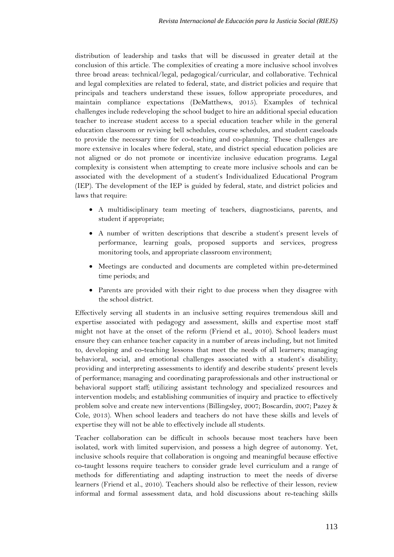distribution of leadership and tasks that will be discussed in greater detail at the conclusion of this article. The complexities of creating a more inclusive school involves three broad areas: technical/legal, pedagogical/curricular, and collaborative. Technical and legal complexities are related to federal, state, and district policies and require that principals and teachers understand these issues, follow appropriate procedures, and maintain compliance expectations (DeMatthews, 2015). Examples of technical challenges include redeveloping the school budget to hire an additional special education teacher to increase student access to a special education teacher while in the general education classroom or revising bell schedules, course schedules, and student caseloads to provide the necessary time for co-teaching and co-planning. These challenges are more extensive in locales where federal, state, and district special education policies are not aligned or do not promote or incentivize inclusive education programs. Legal complexity is consistent when attempting to create more inclusive schools and can be associated with the development of a student's Individualized Educational Program (IEP). The development of the IEP is guided by federal, state, and district policies and laws that require:

- A multidisciplinary team meeting of teachers, diagnosticians, parents, and student if appropriate;
- A number of written descriptions that describe a student's present levels of performance, learning goals, proposed supports and services, progress monitoring tools, and appropriate classroom environment;
- Meetings are conducted and documents are completed within pre-determined time periods; and
- Parents are provided with their right to due process when they disagree with the school district.

Effectively serving all students in an inclusive setting requires tremendous skill and expertise associated with pedagogy and assessment, skills and expertise most staff might not have at the onset of the reform (Friend et al., 2010). School leaders must ensure they can enhance teacher capacity in a number of areas including, but not limited to, developing and co-teaching lessons that meet the needs of all learners; managing behavioral, social, and emotional challenges associated with a student's disability; providing and interpreting assessments to identify and describe students' present levels of performance; managing and coordinating paraprofessionals and other instructional or behavioral support staff; utilizing assistant technology and specialized resources and intervention models; and establishing communities of inquiry and practice to effectively problem solve and create new interventions (Billingsley, 2007; Boscardin, 2007; Pazey & Cole, 2013). When school leaders and teachers do not have these skills and levels of expertise they will not be able to effectively include all students.

Teacher collaboration can be difficult in schools because most teachers have been isolated, work with limited supervision, and possess a high degree of autonomy. Yet, inclusive schools require that collaboration is ongoing and meaningful because effective co-taught lessons require teachers to consider grade level curriculum and a range of methods for differentiating and adapting instruction to meet the needs of diverse learners (Friend et al., 2010). Teachers should also be reflective of their lesson, review informal and formal assessment data, and hold discussions about re-teaching skills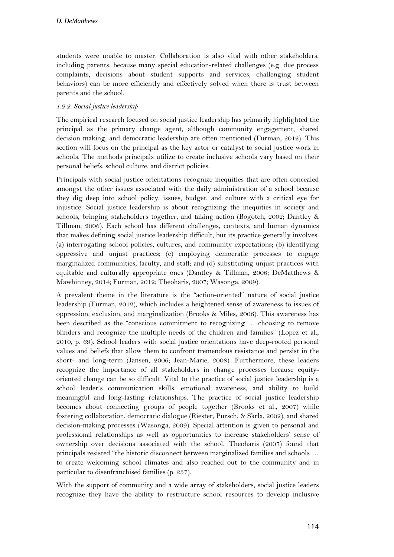students were unable to master. Collaboration is also vital with other stakeholders, including parents, because many special education-related challenges (e.g. due process complaints, decisions about student supports and services, challenging student behaviors) can be more efficiently and effectively solved when there is trust between parents and the school.

#### *1.2.2. Social justice leadership*

The empirical research focused on social justice leadership has primarily highlighted the principal as the primary change agent, although community engagement, shared decision making, and democratic leadership are often mentioned (Furman, 2012). This section will focus on the principal as the key actor or catalyst to social justice work in schools. The methods principals utilize to create inclusive schools vary based on their personal beliefs, school culture, and district policies.

Principals with social justice orientations recognize inequities that are often concealed amongst the other issues associated with the daily administration of a school because they dig deep into school policy, issues, budget, and culture with a critical eye for injustice. Social justice leadership is about recognizing the inequities in society and schools, bringing stakeholders together, and taking action (Bogotch, 2002; Dantley & Tillman, 2006). Each school has different challenges, contexts, and human dynamics that makes defining social justice leadership difficult, but its practice generally involves: (a) interrogating school policies, cultures, and community expectations; (b) identifying oppressive and unjust practices; (c) employing democratic processes to engage marginalized communities, faculty, and staff; and (d) substituting unjust practices with equitable and culturally appropriate ones (Dantley & Tillman, 2006; DeMatthews & Mawhinney, 2014; Furman, 2012; Theoharis, 2007; Wasonga, 2009).

A prevalent theme in the literature is the "action-oriented" nature of social justice leadership (Furman, 2012), which includes a heightened sense of awareness to issues of oppression, exclusion, and marginalization (Brooks & Miles, 2006). This awareness has been described as the "conscious commitment to recognizing … choosing to remove blinders and recognize the multiple needs of the children and families" (Lopez et al., 2010, p. 69). School leaders with social justice orientations have deep-rooted personal values and beliefs that allow them to confront tremendous resistance and persist in the short- and long-term (Jansen, 2006; Jean-Marie, 2008). Furthermore, these leaders recognize the importance of all stakeholders in change processes because equityoriented change can be so difficult. Vital to the practice of social justice leadership is a school leader's communication skills, emotional awareness, and ability to build meaningful and long-lasting relationships. The practice of social justice leadership becomes about connecting groups of people together (Brooks et al., 2007) while fostering collaboration, democratic dialogue (Riester, Pursch, & Skrla, 2002), and shared decision-making processes (Wasonga, 2009). Special attention is given to personal and professional relationships as well as opportunities to increase stakeholders' sense of ownership over decisions associated with the school. Theoharis (2007) found that principals resisted "the historic disconnect between marginalized families and schools … to create welcoming school climates and also reached out to the community and in particular to disenfranchised families (p. 237).

With the support of community and a wide array of stakeholders, social justice leaders recognize they have the ability to restructure school resources to develop inclusive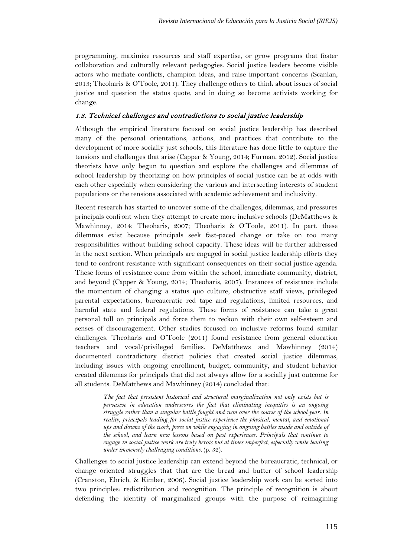programming, maximize resources and staff expertise, or grow programs that foster collaboration and culturally relevant pedagogies. Social justice leaders become visible actors who mediate conflicts, champion ideas, and raise important concerns (Scanlan, 2013; Theoharis & O'Toole, 2011). They challenge others to think about issues of social justice and question the status quote, and in doing so become activists working for change.

#### 1.3. Technical challenges and contradictions to social justice leadership

Although the empirical literature focused on social justice leadership has described many of the personal orientations, actions, and practices that contribute to the development of more socially just schools, this literature has done little to capture the tensions and challenges that arise (Capper & Young, 2014; Furman, 2012). Social justice theorists have only begun to question and explore the challenges and dilemmas of school leadership by theorizing on how principles of social justice can be at odds with each other especially when considering the various and intersecting interests of student populations or the tensions associated with academic achievement and inclusivity.

Recent research has started to uncover some of the challenges, dilemmas, and pressures principals confront when they attempt to create more inclusive schools (DeMatthews & Mawhinney, 2014; Theoharis, 2007; Theoharis & O'Toole, 2011). In part, these dilemmas exist because principals seek fast-paced change or take on too many responsibilities without building school capacity. These ideas will be further addressed in the next section. When principals are engaged in social justice leadership efforts they tend to confront resistance with significant consequences on their social justice agenda. These forms of resistance come from within the school, immediate community, district, and beyond (Capper & Young, 2014; Theoharis, 2007). Instances of resistance include the momentum of changing a status quo culture, obstructive staff views, privileged parental expectations, bureaucratic red tape and regulations, limited resources, and harmful state and federal regulations. These forms of resistance can take a great personal toll on principals and force them to reckon with their own self-esteem and senses of discouragement. Other studies focused on inclusive reforms found similar challenges. Theoharis and O'Toole (2011) found resistance from general education teachers and vocal/privileged families. DeMatthews and Mawhinney (2014) documented contradictory district policies that created social justice dilemmas, including issues with ongoing enrollment, budget, community, and student behavior created dilemmas for principals that did not always allow for a socially just outcome for all students. DeMatthews and Mawhinney (2014) concluded that:

> *The fact that persistent historical and structural marginalization not only exists but is pervasive in education underscores the fact that eliminating inequities is an ongoing struggle rather than a singular battle fought and won over the course of the school year. In reality, principals leading for social justice experience the physical, mental, and emotional ups and downs of the work, press on while engaging in ongoing battles inside and outside of the school, and learn new lessons based on past experiences. Principals that continue to engage in social justice work are truly heroic but at times imperfect, especially while leading under immensely challenging conditions.* (p. 32).

Challenges to social justice leadership can extend beyond the bureaucratic, technical, or change oriented struggles that that are the bread and butter of school leadership (Cranston, Ehrich, & Kimber, 2006). Social justice leadership work can be sorted into two principles: redistribution and recognition. The principle of recognition is about defending the identity of marginalized groups with the purpose of reimagining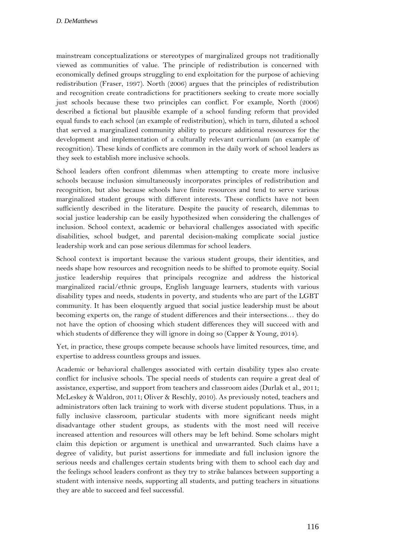mainstream conceptualizations or stereotypes of marginalized groups not traditionally viewed as communities of value. The principle of redistribution is concerned with economically defined groups struggling to end exploitation for the purpose of achieving redistribution (Fraser, 1997). North (2006) argues that the principles of redistribution and recognition create contradictions for practitioners seeking to create more socially just schools because these two principles can conflict. For example, North (2006) described a fictional but plausible example of a school funding reform that provided equal funds to each school (an example of redistribution), which in turn, diluted a school that served a marginalized community ability to procure additional resources for the development and implementation of a culturally relevant curriculum (an example of recognition). These kinds of conflicts are common in the daily work of school leaders as they seek to establish more inclusive schools.

School leaders often confront dilemmas when attempting to create more inclusive schools because inclusion simultaneously incorporates principles of redistribution and recognition, but also because schools have finite resources and tend to serve various marginalized student groups with different interests. These conflicts have not been sufficiently described in the literature. Despite the paucity of research, dilemmas to social justice leadership can be easily hypothesized when considering the challenges of inclusion. School context, academic or behavioral challenges associated with specific disabilities, school budget, and parental decision-making complicate social justice leadership work and can pose serious dilemmas for school leaders.

School context is important because the various student groups, their identities, and needs shape how resources and recognition needs to be shifted to promote equity. Social justice leadership requires that principals recognize and address the historical marginalized racial/ethnic groups, English language learners, students with various disability types and needs, students in poverty, and students who are part of the LGBT community. It has been eloquently argued that social justice leadership must be about becoming experts on, the range of student differences and their intersections… they do not have the option of choosing which student differences they will succeed with and which students of difference they will ignore in doing so (Capper & Young, 2014).

Yet, in practice, these groups compete because schools have limited resources, time, and expertise to address countless groups and issues.

Academic or behavioral challenges associated with certain disability types also create conflict for inclusive schools. The special needs of students can require a great deal of assistance, expertise, and support from teachers and classroom aides (Durlak et al., 2011; McLeskey & Waldron, 2011; Oliver & Reschly, 2010). As previously noted, teachers and administrators often lack training to work with diverse student populations. Thus, in a fully inclusive classroom, particular students with more significant needs might disadvantage other student groups, as students with the most need will receive increased attention and resources will others may be left behind. Some scholars might claim this depiction or argument is unethical and unwarranted. Such claims have a degree of validity, but purist assertions for immediate and full inclusion ignore the serious needs and challenges certain students bring with them to school each day and the feelings school leaders confront as they try to strike balances between supporting a student with intensive needs, supporting all students, and putting teachers in situations they are able to succeed and feel successful.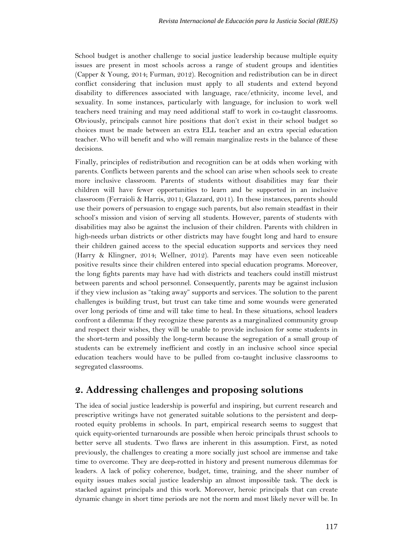School budget is another challenge to social justice leadership because multiple equity issues are present in most schools across a range of student groups and identities (Capper & Young, 2014; Furman, 2012). Recognition and redistribution can be in direct conflict considering that inclusion must apply to all students and extend beyond disability to differences associated with language, race/ethnicity, income level, and sexuality. In some instances, particularly with language, for inclusion to work well teachers need training and may need additional staff to work in co-taught classrooms. Obviously, principals cannot hire positions that don't exist in their school budget so choices must be made between an extra ELL teacher and an extra special education teacher. Who will benefit and who will remain marginalize rests in the balance of these decisions.

Finally, principles of redistribution and recognition can be at odds when working with parents. Conflicts between parents and the school can arise when schools seek to create more inclusive classroom. Parents of students without disabilities may fear their children will have fewer opportunities to learn and be supported in an inclusive classroom (Ferraioli & Harris, 2011; Glazzard, 2011). In these instances, parents should use their powers of persuasion to engage such parents, but also remain steadfast in their school's mission and vision of serving all students. However, parents of students with disabilities may also be against the inclusion of their children. Parents with children in high-needs urban districts or other districts may have fought long and hard to ensure their children gained access to the special education supports and services they need (Harry & Klingner, 2014; Wellner, 2012). Parents may have even seen noticeable positive results since their children entered into special education programs. Moreover, the long fights parents may have had with districts and teachers could instill mistrust between parents and school personnel. Consequently, parents may be against inclusion if they view inclusion as "taking away" supports and services. The solution to the parent challenges is building trust, but trust can take time and some wounds were generated over long periods of time and will take time to heal. In these situations, school leaders confront a dilemma: If they recognize these parents as a marginalized community group and respect their wishes, they will be unable to provide inclusion for some students in the short-term and possibly the long-term because the segregation of a small group of students can be extremely inefficient and costly in an inclusive school since special education teachers would have to be pulled from co-taught inclusive classrooms to segregated classrooms.

# **2. Addressing challenges and proposing solutions**

The idea of social justice leadership is powerful and inspiring, but current research and prescriptive writings have not generated suitable solutions to the persistent and deeprooted equity problems in schools. In part, empirical research seems to suggest that quick equity-oriented turnarounds are possible when heroic principals thrust schools to better serve all students. Two flaws are inherent in this assumption. First, as noted previously, the challenges to creating a more socially just school are immense and take time to overcome. They are deep-rotted in history and present numerous dilemmas for leaders. A lack of policy coherence, budget, time, training, and the sheer number of equity issues makes social justice leadership an almost impossible task. The deck is stacked against principals and this work. Moreover, heroic principals that can create dynamic change in short time periods are not the norm and most likely never will be. In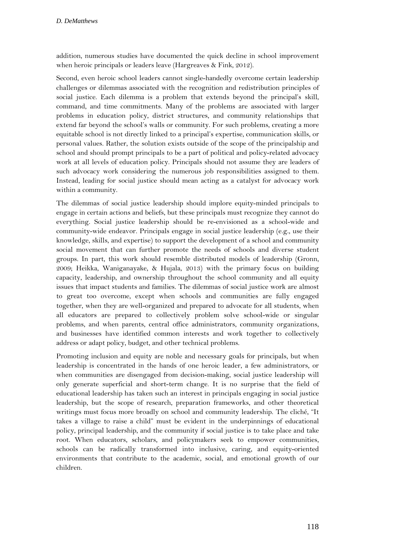addition, numerous studies have documented the quick decline in school improvement when heroic principals or leaders leave (Hargreaves & Fink, 2012).

Second, even heroic school leaders cannot single-handedly overcome certain leadership challenges or dilemmas associated with the recognition and redistribution principles of social justice. Each dilemma is a problem that extends beyond the principal's skill, command, and time commitments. Many of the problems are associated with larger problems in education policy, district structures, and community relationships that extend far beyond the school's walls or community. For such problems, creating a more equitable school is not directly linked to a principal's expertise, communication skills, or personal values. Rather, the solution exists outside of the scope of the principalship and school and should prompt principals to be a part of political and policy-related advocacy work at all levels of education policy. Principals should not assume they are leaders of such advocacy work considering the numerous job responsibilities assigned to them. Instead, leading for social justice should mean acting as a catalyst for advocacy work within a community.

The dilemmas of social justice leadership should implore equity-minded principals to engage in certain actions and beliefs, but these principals must recognize they cannot do everything. Social justice leadership should be re-envisioned as a school-wide and community-wide endeavor. Principals engage in social justice leadership (e.g., use their knowledge, skills, and expertise) to support the development of a school and community social movement that can further promote the needs of schools and diverse student groups. In part, this work should resemble distributed models of leadership (Gronn, 2009; Heikka, Waniganayake, & Hujala, 2013) with the primary focus on building capacity, leadership, and ownership throughout the school community and all equity issues that impact students and families. The dilemmas of social justice work are almost to great too overcome, except when schools and communities are fully engaged together, when they are well-organized and prepared to advocate for all students, when all educators are prepared to collectively problem solve school-wide or singular problems, and when parents, central office administrators, community organizations, and businesses have identified common interests and work together to collectively address or adapt policy, budget, and other technical problems.

Promoting inclusion and equity are noble and necessary goals for principals, but when leadership is concentrated in the hands of one heroic leader, a few administrators, or when communities are disengaged from decision-making, social justice leadership will only generate superficial and short-term change. It is no surprise that the field of educational leadership has taken such an interest in principals engaging in social justice leadership, but the scope of research, preparation frameworks, and other theoretical writings must focus more broadly on school and community leadership. The cliché, "It takes a village to raise a child" must be evident in the underpinnings of educational policy, principal leadership, and the community if social justice is to take place and take root. When educators, scholars, and policymakers seek to empower communities, schools can be radically transformed into inclusive, caring, and equity-oriented environments that contribute to the academic, social, and emotional growth of our children.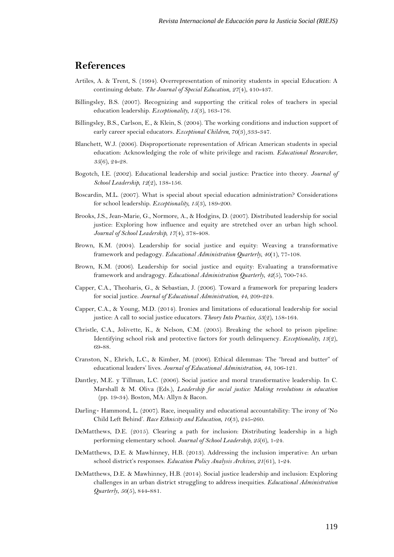### **References**

- Artiles, A. & Trent, S. (1994). Overrepresentation of minority students in special Education: A continuing debate. *The Journal of Special Education*, *27*(4), 410-437.
- Billingsley, B.S. (2007). Recognizing and supporting the critical roles of teachers in special education leadership. *Exceptionality, 15*(3), 163-176.
- Billingsley, B.S., Carlson, E., & Klein, S. (2004). The working conditions and induction support of early career special educators*. Exceptional Children, 70*(3)¸333-347.
- Blanchett, W.J. (2006). Disproportionate representation of African American students in special education: Acknowledging the role of white privilege and racism. *Educational Researcher*, *35*(6), 24-28.
- Bogotch, I.E. (2002). Educational leadership and social justice: Practice into theory. *Journal of School Leadership, 12*(2), 138-156.
- Boscardin, M.L. (2007). What is special about special education administration? Considerations for school leadership. *Exceptionality, 15*(3), 189-200.
- Brooks, J.S., Jean-Marie, G., Normore, A., & Hodgins, D. (2007). Distributed leadership for social justice: Exploring how influence and equity are stretched over an urban high school. *Journal of School Leadership, 17*(4), 378-408.
- Brown, K.M. (2004). Leadership for social justice and equity: Weaving a transformative framework and pedagogy. *Educational Administration Quarterly*, *40*(1), 77-108.
- Brown, K.M. (2006). Leadership for social justice and equity: Evaluating a transformative framework and andragogy. *Educational Administration Quarterly*, *42*(5), 700-745.
- Capper, C.A., Theoharis, G., & Sebastian, J. (2006). Toward a framework for preparing leaders for social justice. *Journal of Educational Administration, 44*, 209-224.
- Capper, C.A., & Young, M.D. (2014). Ironies and limitations of educational leadership for social justice: A call to social justice educators. *Theory Into Practice*, *53*(2), 158-164.
- Christle, C.A., Jolivette, K., & Nelson, C.M. (2005). Breaking the school to prison pipeline: Identifying school risk and protective factors for youth delinquency. *Exceptionality*, *13*(2), 69-88.
- Cranston, N., Ehrich, L.C., & Kimber, M. (2006). Ethical dilemmas: The "bread and butter" of educational leaders' lives. *Journal of Educational Administration, 44*, 106-121.
- Dantley, M.E. y Tillman, L.C. (2006). Social justice and moral transformative leadership. In C. Marshall & M. Oliva (Eds.), *Leadership for social justice: Making revolutions in education* (pp. 19-34). Boston, MA: Allyn & Bacon.
- Darling-Hammond, L. (2007). Race, inequality and educational accountability: The irony of 'No Child Left Behind'. *Race Ethnicity and Education*, *10*(3), 245-260.
- DeMatthews, D.E. (2015). Clearing a path for inclusion: Distributing leadership in a high performing elementary school. *Journal of School Leadership, 25*(6), 1-24.
- DeMatthews, D.E. & Mawhinney, H.B. (2013). Addressing the inclusion imperative: An urban school district's responses. *Education Policy Analysis Archives, 21*(61), 1-24.
- DeMatthews, D.E. & Mawhinney, H.B. (2014). Social justice leadership and inclusion: Exploring challenges in an urban district struggling to address inequities. *Educational Administration Quarterly*, *50*(5), 844-881.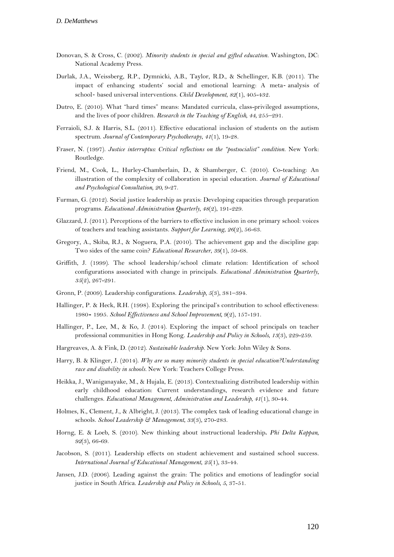- Donovan, S. & Cross, C. (2002). *Minority students in special and gifted education.* Washington, DC: National Academy Press.
- Durlak, J.A., Weissberg, R.P., Dymnicki, A.B., Taylor, R.D., & Schellinger, K.B. (2011). The impact of enhancing students' social and emotional learning: A meta‐ analysis of school‐ based universal interventions. *Child Development*, *82*(1), 405-432.
- Dutro, E. (2010). What "hard times" means: Mandated curricula, class-privileged assumptions, and the lives of poor children. *Research in the Teaching of English, 44,* 255–291.
- Ferraioli, S.J. & Harris, S.L. (2011). Effective educational inclusion of students on the autism spectrum. *Journal of Contemporary Psychotherapy*, *41*(1), 19-28.
- Fraser, N. (1997). *Justice interruptus: Critical reflections on the "postsocialist" condition*. New York: Routledge.
- Friend, M., Cook, L., Hurley-Chamberlain, D., & Shamberger, C. (2010). Co-teaching: An illustration of the complexity of collaboration in special education. *Journal of Educational and Psychological Consultation, 20*, 9-27.
- Furman, G. (2012). Social justice leadership as praxis: Developing capacities through preparation programs. *Educational Administration Quarterly, 48*(2), 191-229.
- Glazzard, J. (2011). Perceptions of the barriers to effective inclusion in one primary school: voices of teachers and teaching assistants. *Support for Learning*, *26*(2), 56-63.
- Gregory, A., Skiba, R.J., & Noguera, P.A. (2010). The achievement gap and the discipline gap: Two sides of the same coin? *Educational Researcher*, *39*(1), 59-68.
- Griffith, J. (1999). The school leadership/school climate relation: Identification of school configurations associated with change in principals. *Educational Administration Quarterly*, *35*(2), 267-291.
- Gronn, P. (2009). Leadership configurations. *Leadership, 5*(3), 381–394.
- Hallinger, P. & Heck, R.H. (1998). Exploring the principal's contribution to school effectiveness: 1980‐ 1995. *School Effectiveness and School Improvement, 9*(2), 157-191.
- Hallinger, P., Lee, M., & Ko, J. (2014). Exploring the impact of school principals on teacher professional communities in Hong Kong. *Leadership and Policy in Schools*, *13*(3), 229-259.
- Hargreaves, A. & Fink, D. (2012). *Sustainable leadership*. New York: John Wiley & Sons.
- Harry, B. & Klinger, J. (2014). *Why are so many minority students in special education?Understanding race and disability in schools.* New York: Teachers College Press.
- Heikka, J., Waniganayake, M., & Hujala, E. (2013). Contextualizing distributed leadership within early childhood education: Current understandings, research evidence and future challenges. *Educational Management, Administration and Leadership, 41*(1), 30-44.
- Holmes, K., Clement, J., & Albright, J. (2013). The complex task of leading educational change in schools. *School Leadership & Management*, *33*(3), 270-283.
- Horng, E. & Loeb, S. (2010). New thinking about instructional leadership**.** *Phi Delta Kappan, 92*(3), 66-69.
- Jacobson, S. (2011). Leadership effects on student achievement and sustained school success. *International Journal of Educational Management*, *25*(1), 33-44.
- Jansen, J.D. (2006). Leading against the grain: The politics and emotions of leadingfor social justice in South Africa. *Leadership and Policy in Schools, 5*, 37-51.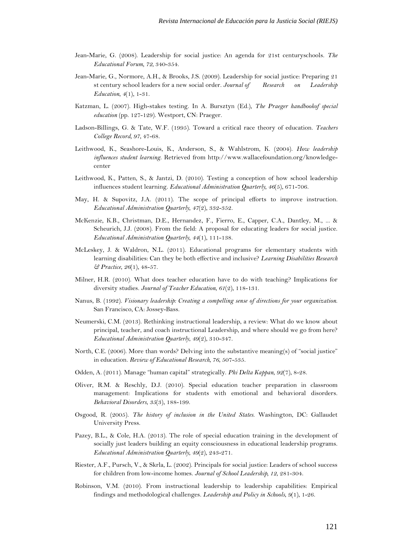- Jean-Marie, G. (2008). Leadership for social justice: An agenda for 21st centuryschools. *The Educational Forum, 72*, 340-354.
- Jean-Marie, G., Normore, A.H., & Brooks, J.S. (2009). Leadership for social justice: Preparing 21 st century school leaders for a new social order. *Journal of Research on Leadership Education*, *4*(1), 1-31.
- Katzman, L. (2007). High-stakes testing. In A. Bursztyn (Ed.), *The Praeger handbookof special education* (pp. 127-129). Westport, CN: Praeger.
- Ladson-Billings, G. & Tate, W.F. (1995). Toward a critical race theory of education. *Teachers College Record, 97*, 47-68.
- Leithwood, K., Seashore-Louis, K., Anderson, S., & Wahlstrom, K. (2004). *How leadership influences student learning*. Retrieved from http://www.wallacefoundation.org/knowledgecenter
- Leithwood, K., Patten, S., & Jantzi, D. (2010). Testing a conception of how school leadership influences student learning. *Educational Administration Quarterly, 46*(5), 671-706.
- May, H. & Supovitz, J.A. (2011). The scope of principal efforts to improve instruction. *Educational Administration Quarterly*, *47*(2), 332-352.
- McKenzie, K.B., Christman, D.E., Hernandez, F., Fierro, E., Capper, C.A., Dantley, M., ... & Scheurich, J.J. (2008). From the field: A proposal for educating leaders for social justice. *Educational Administration Quarterly*, *44*(1), 111-138.
- McLeskey, J. & Waldron, N.L. (2011). Educational programs for elementary students with learning disabilities: Can they be both effective and inclusive? *Learning Disabilities Research & Practice*, *26*(1), 48-57.
- Milner, H.R. (2010). What does teacher education have to do with teaching? Implications for diversity studies. *Journal of Teacher Education*, *61*(2), 118-131.
- Nanus, B. (1992). *Visionary leadership: Creating a compelling sense of directions for your organization*. San Francisco, CA: Jossey-Bass.
- Neumerski, C.M. (2013). Rethinking instructional leadership, a review: What do we know about principal, teacher, and coach instructional Leadership, and where should we go from here? *Educational Administration Quarterly*, *49*(2), 310-347.
- North, C.E. (2006). More than words? Delving into the substantive meaning(s) of "social justice" in education. *Review of Educational Research, 76*, 507-535.
- Odden, A. (2011). Manage "human capital" strategically. *Phi Delta Kappan*, *92*(7), 8-28.
- Oliver, R.M. & Reschly, D.J. (2010). Special education teacher preparation in classroom management: Implications for students with emotional and behavioral disorders. *Behavioral Disorders*, *35*(3), 188-199.
- Osgood, R. (2005). *The history of inclusion in the United States*. Washington, DC: Gallaudet University Press.
- Pazey, B.L., & Cole, H.A. (2013). The role of special education training in the development of socially just leaders building an equity consciousness in educational leadership programs. *Educational Administration Quarterly, 49*(2), 243-271.
- Riester, A.F., Pursch, V., & Skrla, L. (2002). Principals for social justice: Leaders of school success for children from low-income homes. *Journal of School Leadership, 12*, 281-304.
- Robinson, V.M. (2010). From instructional leadership to leadership capabilities: Empirical findings and methodological challenges. *Leadership and Policy in Schools*, *9*(1), 1-26.